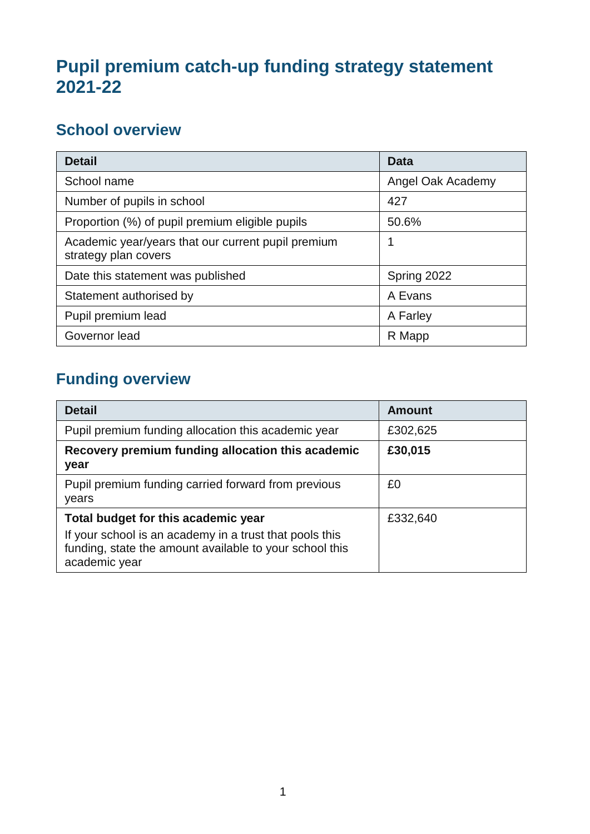## **Pupil premium catch-up funding strategy statement 2021-22**

## **School overview**

| <b>Detail</b>                                                              | Data              |
|----------------------------------------------------------------------------|-------------------|
| School name                                                                | Angel Oak Academy |
| Number of pupils in school                                                 | 427               |
| Proportion (%) of pupil premium eligible pupils                            | 50.6%             |
| Academic year/years that our current pupil premium<br>strategy plan covers |                   |
| Date this statement was published                                          | Spring 2022       |
| Statement authorised by                                                    | A Evans           |
| Pupil premium lead                                                         | A Farley          |
| Governor lead                                                              | R Mapp            |

# **Funding overview**

| <b>Detail</b>                                                                                                                                                              | Amount   |
|----------------------------------------------------------------------------------------------------------------------------------------------------------------------------|----------|
| Pupil premium funding allocation this academic year                                                                                                                        | £302,625 |
| Recovery premium funding allocation this academic<br>year                                                                                                                  | £30,015  |
| Pupil premium funding carried forward from previous<br>years                                                                                                               | £0       |
| Total budget for this academic year<br>If your school is an academy in a trust that pools this<br>funding, state the amount available to your school this<br>academic year | £332,640 |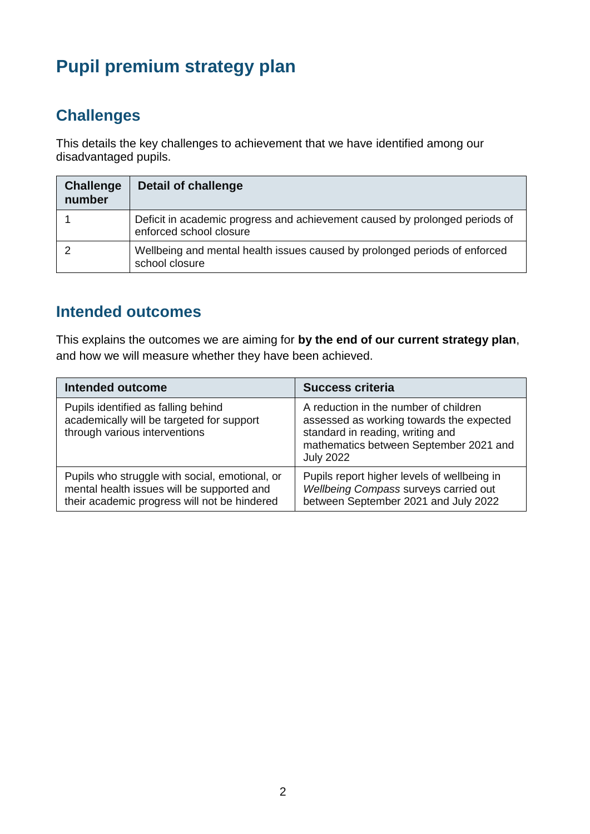# **Pupil premium strategy plan**

### **Challenges**

This details the key challenges to achievement that we have identified among our disadvantaged pupils.

| <b>Challenge</b><br>number | <b>Detail of challenge</b>                                                                             |
|----------------------------|--------------------------------------------------------------------------------------------------------|
|                            | Deficit in academic progress and achievement caused by prolonged periods of<br>enforced school closure |
|                            | Wellbeing and mental health issues caused by prolonged periods of enforced<br>school closure           |

#### **Intended outcomes**

This explains the outcomes we are aiming for **by the end of our current strategy plan**, and how we will measure whether they have been achieved.

| <b>Intended outcome</b>                                                                                                                      | <b>Success criteria</b>                                                                                                                                                             |
|----------------------------------------------------------------------------------------------------------------------------------------------|-------------------------------------------------------------------------------------------------------------------------------------------------------------------------------------|
| Pupils identified as falling behind<br>academically will be targeted for support<br>through various interventions                            | A reduction in the number of children<br>assessed as working towards the expected<br>standard in reading, writing and<br>mathematics between September 2021 and<br><b>July 2022</b> |
| Pupils who struggle with social, emotional, or<br>mental health issues will be supported and<br>their academic progress will not be hindered | Pupils report higher levels of wellbeing in<br>Wellbeing Compass surveys carried out<br>between September 2021 and July 2022                                                        |